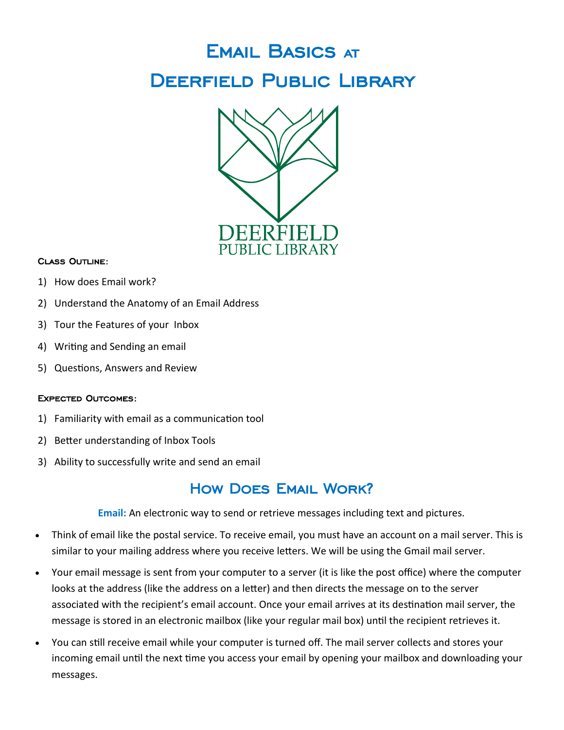# Email Basics at DEERFIELD PUBLIC LIBRARY



#### Class Outline:

- 1) How does Email work?
- 2) Understand the Anatomy of an Email Address
- 3) Tour the Features of your Inbox
- 4) Writing and Sending an email
- 5) Questions, Answers and Review

#### Expected Outcomes:

- 1) Familiarity with email as a communication tool
- 2) Better understanding of Inbox Tools
- 3) Ability to successfully write and send an email

#### How Does Email Work?

**Email:** An electronic way to send or retrieve messages including text and pictures.

- Think of email like the postal service. To receive email, you must have an account on a mail server. This is similar to your mailing address where you receive letters. We will be using the Gmail mail server.
- Your email message is sent from your computer to a server (it is like the post office) where the computer looks at the address (like the address on a letter) and then directs the message on to the server associated with the recipient's email account. Once your email arrives at its destination mail server, the message is stored in an electronic mailbox (like your regular mail box) until the recipient retrieves it.
- You can still receive email while your computer is turned off. The mail server collects and stores your incoming email until the next time you access your email by opening your mailbox and downloading your messages.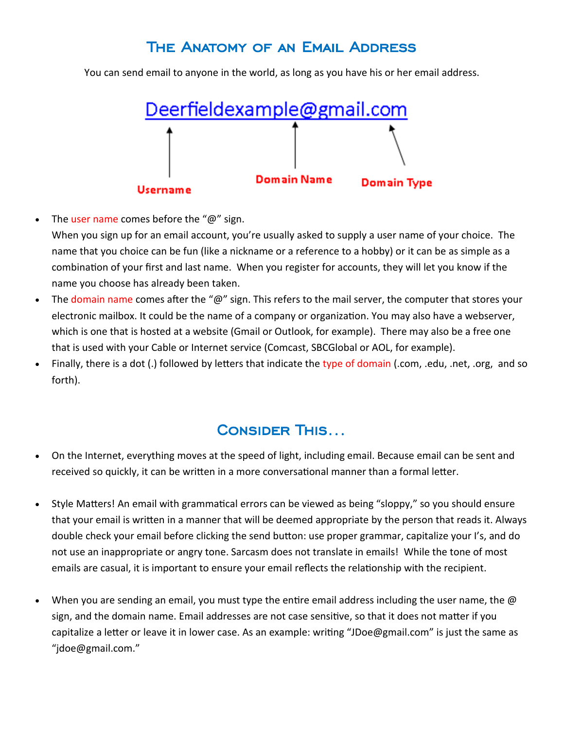#### The Anatomy of an Email Address

You can send email to anyone in the world, as long as you have his or her email address.



- The user name comes before the " $@$ " sign.
- When you sign up for an email account, you're usually asked to supply a user name of your choice. The name that you choice can be fun (like a nickname or a reference to a hobby) or it can be as simple as a combination of your first and last name. When you register for accounts, they will let you know if the name you choose has already been taken.
- The domain name comes after the " $@$ " sign. This refers to the mail server, the computer that stores your electronic mailbox. It could be the name of a company or organization. You may also have a webserver, which is one that is hosted at a website (Gmail or Outlook, for example). There may also be a free one that is used with your Cable or Internet service (Comcast, SBCGlobal or AOL, for example).
- Finally, there is a dot (.) followed by letters that indicate the type of domain (.com, .edu, .net, .org, and so forth).

#### Consider This…

- On the Internet, everything moves at the speed of light, including email. Because email can be sent and received so quickly, it can be written in a more conversational manner than a formal letter.
- Style Matters! An email with grammatical errors can be viewed as being "sloppy," so you should ensure that your email is written in a manner that will be deemed appropriate by the person that reads it. Always double check your email before clicking the send button: use proper grammar, capitalize your I's, and do not use an inappropriate or angry tone. Sarcasm does not translate in emails! While the tone of most emails are casual, it is important to ensure your email reflects the relationship with the recipient.
- When you are sending an email, you must type the entire email address including the user name, the @ sign, and the domain name. Email addresses are not case sensitive, so that it does not matter if you capitalize a letter or leave it in lower case. As an example: writing "JDoe@gmail.com" is just the same as "jdoe@gmail.com."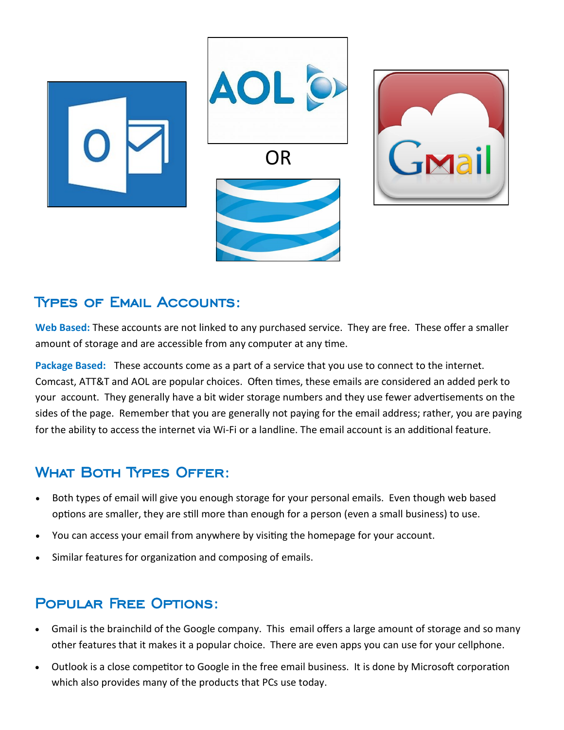

#### Types of Email Accounts:

**Web Based:** These accounts are not linked to any purchased service. They are free. These offer a smaller amount of storage and are accessible from any computer at any time.

**Package Based:** These accounts come as a part of a service that you use to connect to the internet. Comcast, ATT&T and AOL are popular choices. Often times, these emails are considered an added perk to your account. They generally have a bit wider storage numbers and they use fewer advertisements on the sides of the page. Remember that you are generally not paying for the email address; rather, you are paying for the ability to access the internet via Wi-Fi or a landline. The email account is an additional feature.

## What Both Types Offer:

- Both types of email will give you enough storage for your personal emails. Even though web based options are smaller, they are still more than enough for a person (even a small business) to use.
- You can access your email from anywhere by visiting the homepage for your account.
- Similar features for organization and composing of emails.

## Popular Free Options:

- Gmail is the brainchild of the Google company. This email offers a large amount of storage and so many other features that it makes it a popular choice. There are even apps you can use for your cellphone.
- Outlook is a close competitor to Google in the free email business. It is done by Microsoft corporation which also provides many of the products that PCs use today.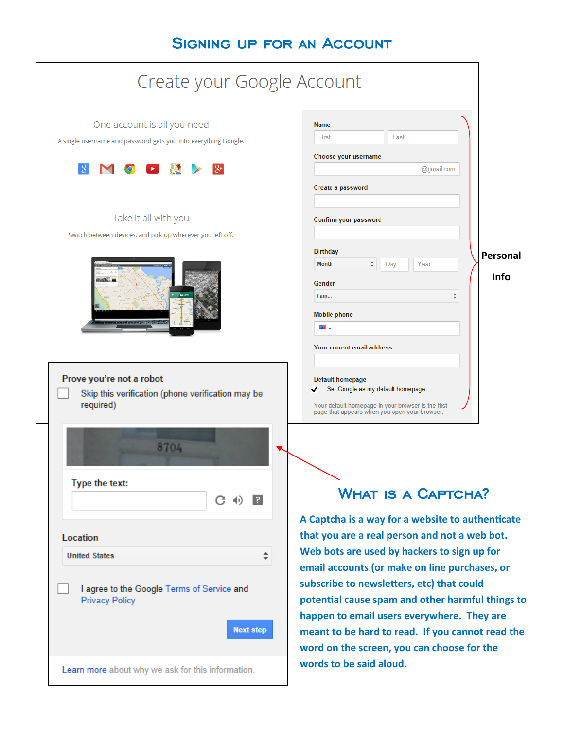## Signing up for an Account

| Create your Google Account                                                                                                               |                                                                                                                                                                                                                                                                                                                                                  |  |  |
|------------------------------------------------------------------------------------------------------------------------------------------|--------------------------------------------------------------------------------------------------------------------------------------------------------------------------------------------------------------------------------------------------------------------------------------------------------------------------------------------------|--|--|
| One account is all you need<br>A single username and password gets you into everything Google.<br>$ S^{\scriptscriptstyle +} $           | <b>Name</b><br>First<br>Last<br>Choose your username<br>@gmail.com                                                                                                                                                                                                                                                                               |  |  |
| Take it all with you<br>Switch between devices, and pick up wherever you left off.                                                       | Create a password<br>Confirm your password<br><b>Birthday</b><br>Personal<br>Year<br><b>Month</b><br>÷<br>Day<br><b>Info</b><br>Gender<br>$\div$<br>$l$ am                                                                                                                                                                                       |  |  |
| Prove you're not a robot<br>Skip this verification (phone verification may be<br>required)                                               | <b>Mobile phone</b><br>me .<br>Your current email address<br>Default homepage<br>Set Google as my default homepage.<br>✓<br>Your default homepage in your browser is the first<br>page that appears when you open your browser.                                                                                                                  |  |  |
| Type the text:<br>П<br>C (1)                                                                                                             | <b>WHAT IS A CAPTCHA?</b><br>A Captcha is a way for a website to authenticate                                                                                                                                                                                                                                                                    |  |  |
| <b>Location</b><br>÷.<br><b>United States</b><br>I agree to the Google Terms of Service and<br><b>Privacy Policy</b><br><b>Next step</b> | that you are a real person and not a web bot.<br>Web bots are used by hackers to sign up for<br>email accounts (or make on line purchases, or<br>subscribe to newsletters, etc) that could<br>potential cause spam and other harmful things to<br>happen to email users everywhere. They are<br>meant to be hard to read. If you cannot read the |  |  |
| Learn more about why we ask for this information.                                                                                        | word on the screen, you can choose for the<br>words to be said aloud.                                                                                                                                                                                                                                                                            |  |  |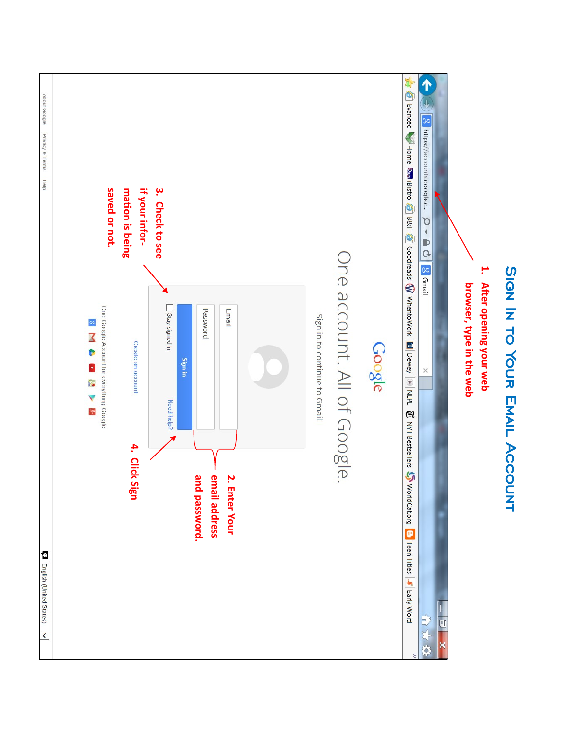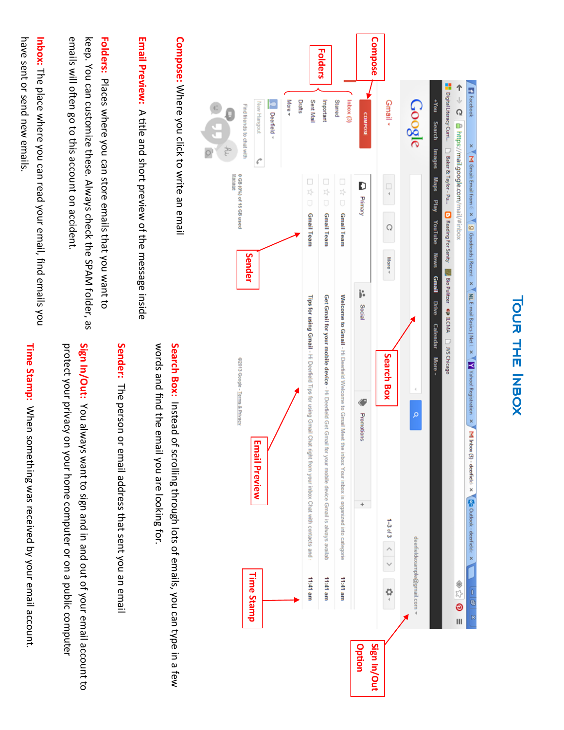| <b>Time Stamp</b>                                                                                                                                                                     | <b>Email Preview</b>                           |                                                                                                                                                                                                                                                                    |                                                                                                                                  | Deemeld ~<br>New Hangout<br>Ç         |
|---------------------------------------------------------------------------------------------------------------------------------------------------------------------------------------|------------------------------------------------|--------------------------------------------------------------------------------------------------------------------------------------------------------------------------------------------------------------------------------------------------------------------|----------------------------------------------------------------------------------------------------------------------------------|---------------------------------------|
|                                                                                                                                                                                       |                                                |                                                                                                                                                                                                                                                                    |                                                                                                                                  | More <del>v</del><br>Drafts           |
| 11:41 am                                                                                                                                                                              |                                                | Tips for using Gmail - Hi Deerfield Tips for using Gmail Chat right from your inbox Chat with contacts and :                                                                                                                                                       | $\Box$<br>차<br>Ū<br><b>Gmail Team</b>                                                                                            | Sent Mail                             |
| 11:41 am                                                                                                                                                                              | for your mobile device Gmail is always availab | Get Gmail for your mobile device - Hi Deerfield Get Gmail                                                                                                                                                                                                          | $\Box$<br>차<br>Ū<br><b>Gmail Team</b>                                                                                            | Important                             |
| ure 11:41                                                                                                                                                                             |                                                | Welcome to Gmail - Hi Deerfield Welcome to Gmail Meet the inbox Your inbox is organized into categorie                                                                                                                                                             | $\Box$<br>차<br>$\Box$<br><b>Gmail Team</b>                                                                                       | Inbox (3)<br>Starred                  |
|                                                                                                                                                                                       | ÷                                              | Social<br>♦<br>Promotions                                                                                                                                                                                                                                          | D<br>Primary<br>j.                                                                                                               | <b>COMPOSE</b>                        |
| $\frac{1}{2}$                                                                                                                                                                         | 1-3 of 3 $\langle$ >                           | Search Box                                                                                                                                                                                                                                                         | $\Box$<br>$\triangleleft$<br>Q<br>More v                                                                                         | Gmail •                               |
| deerfieldexample@gmail.com >                                                                                                                                                          |                                                | o                                                                                                                                                                                                                                                                  |                                                                                                                                  | ချ8်၀၀၅                               |
|                                                                                                                                                                                       |                                                | Drive<br><b>Calendar</b><br>More -                                                                                                                                                                                                                                 | <b>Maps</b><br>Play<br>YouTube<br><b>News</b><br>Gmail                                                                           | no <sub>k</sub> +<br>Search<br>lmages |
|                                                                                                                                                                                       |                                                |                                                                                                                                                                                                                                                                    | Digital Literacy Curril. $\Box$ Baker & Taylor - Pu $\Box$ Reading For Sanity $\Box$ Bio Pulitzer $\Box$ LCMA $\Box$ JVS Chicago |                                       |
| 848<br>$\overline{\mathbf{u}}$                                                                                                                                                        |                                                |                                                                                                                                                                                                                                                                    | <b>Attps://mail.google.com/mail/#inbox</b>                                                                                       | $\mathbf{r}$<br>$\Omega$              |
| $\begin{array}{c c c c c c} \hline \rule{0pt}{2ex} & \rule{0pt}{2ex} \multicolumn{2}{c }{\mathbb{R}} & \multicolumn{2}{c }{\mathbb{R}} & \multicolumn{2}{c }{\mathbb{R}} \end{array}$ |                                                | $\mathbb{R}$ M Gmail: Email from $\in \times \mathbb{R}$ goodreads   Recent $\times \mathbb{R}$ Mu E-mail Basics   Net $1 \times \mathbb{R}$ / Yahoo! Registration $\times \mathbb{R}$ M Inbox (3) - deerfield $\times \mathbb{R}$ Qa Outlook - deerfield $\times$ |                                                                                                                                  | <b>Fi</b> Facebook<br>×               |

**Compose:** Where you click to write an email **Compose:** Where you click to write an email

 $\circ$ 

Email Preview: A title and short preview of the message inside **Email Preview:** A title and short preview of the message inside

emails will often go to this account on accident keep. You can customize these. Always check the SPAM folder, as **Folders:** Places where you can store emails that you want to emails will often go to this account on accident. keep. You can customize these. Always check the SPAM folder, as Places where you can store emails that you want to

have sent or send new emails. **Inbox:** The place where you can read your email, find emails you have sent or send new emails. The place where you can read your email, find emails you

> words and find the email you are looking for. words and find the email you are looking for. Search Box: Instead of scrolling through lots of emails, you can type in a few **Search Box:** Instead of scrolling through lots of emails, you can type in a few

**Sender:** The person or email address that sent you an email The person or email address that sent you an email

Sign In/Out: You always want to sign and in and out of your email account to protect your privacy on your home computer or on a public computer **Sign In/Out:** protect your privacy on your home computer or on a public computer You always want to sign and in and out of your email account to

Time Stamp: When something was received by your email account. **Time Stamp:**  When something was received by your email account.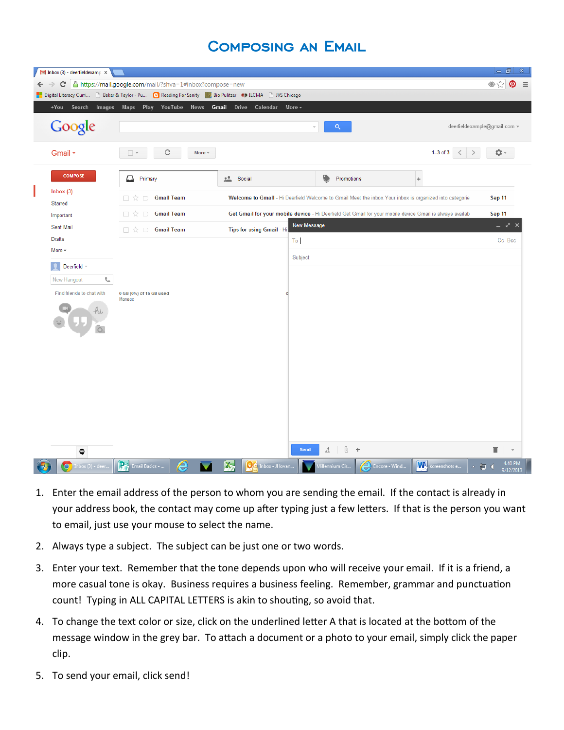#### Composing an Email

|                                                                                                                 | $\blacksquare$ Inbox (3) - deerfieldexamp $\times$ |                                                          |                                |                                                                                                          |                              | ا ها دا<br>$\mathbf{x}$                            |
|-----------------------------------------------------------------------------------------------------------------|----------------------------------------------------|----------------------------------------------------------|--------------------------------|----------------------------------------------------------------------------------------------------------|------------------------------|----------------------------------------------------|
|                                                                                                                 | C<br>$\Rightarrow$                                 | A https://mail.google.com/mail/?shva=1#inbox?compose=new |                                |                                                                                                          |                              | $\otimes$ siz<br>$\boldsymbol{\Omega}$<br>$\equiv$ |
| Digital Literacy Curri [4] Baker & Taylor - Pu [4] Reading For Sanity [4] Bio Pulitzer CD ILCMA [4] JVS Chicago |                                                    |                                                          |                                |                                                                                                          |                              |                                                    |
|                                                                                                                 |                                                    | +You Search Images Maps Play YouTube News                | <b>Gmail</b> Drive<br>Calendar | More $\sim$                                                                                              |                              |                                                    |
|                                                                                                                 | Google                                             |                                                          |                                | Q                                                                                                        |                              | deerfieldexample@gmail.com =                       |
|                                                                                                                 | Gmail +                                            | C<br>More $=$<br>$\Box$ $\star$                          |                                |                                                                                                          | 1-3 of 3 $\langle$ $\rangle$ | 立-                                                 |
|                                                                                                                 | <b>COMPOSE</b>                                     | Primary<br>≏                                             | 盐<br>Social                    | Promotions                                                                                               | ÷                            |                                                    |
|                                                                                                                 | Inbox(3)<br>Starred                                | <b>Gmail Team</b><br>□☆□                                 |                                | Welcome to Gmail - Hi Deerfield Welcome to Gmail Meet the inbox Your inbox is organized into categorie   |                              | Sep 11                                             |
|                                                                                                                 | Important                                          | <b>Gmail Team</b><br>□☆□                                 |                                | Get Gmail for your mobile device - Hi Deerfield Get Gmail for your mobile device Gmail is always availab |                              | Sep 11                                             |
|                                                                                                                 | Sent Mail                                          | 口☆ロ<br><b>Gmail Team</b>                                 | Tips for using Gmail - Hi      | <b>New Message</b>                                                                                       |                              | - 7                                                |
|                                                                                                                 | <b>Drafts</b><br>More -                            |                                                          |                                | To                                                                                                       |                              | Cc Bcc                                             |
|                                                                                                                 | $\vert \Omega \vert$<br>Deerfield =                |                                                          |                                | Subject                                                                                                  |                              |                                                    |
|                                                                                                                 | t.<br>New Hangout                                  |                                                          |                                |                                                                                                          |                              |                                                    |
|                                                                                                                 | Find friends to chat with                          | 0 GB (0%) of 15 GB used<br>Manage                        |                                |                                                                                                          |                              |                                                    |
|                                                                                                                 |                                                    |                                                          |                                |                                                                                                          |                              |                                                    |
|                                                                                                                 |                                                    |                                                          |                                |                                                                                                          |                              |                                                    |
|                                                                                                                 | Φ                                                  |                                                          |                                | Ū.<br>$\pm$<br>Send<br>$\boldsymbol{A}$                                                                  |                              | Ê<br>$\rightarrow$                                 |
|                                                                                                                 | inbox (3) - deer<br>$\bullet$                      | <b>P</b> Email Basics -<br>e                             | 公<br>Do Inbox - JHovan         | Encore - Wind<br>Millennium Cir                                                                          | We screenshots e             | 4:40 PM<br>$\sim$ 2 (                              |

- 1. Enter the email address of the person to whom you are sending the email. If the contact is already in your address book, the contact may come up after typing just a few letters. If that is the person you want to email, just use your mouse to select the name.
- 2. Always type a subject. The subject can be just one or two words.
- 3. Enter your text. Remember that the tone depends upon who will receive your email. If it is a friend, a more casual tone is okay. Business requires a business feeling. Remember, grammar and punctuation count! Typing in ALL CAPITAL LETTERS is akin to shouting, so avoid that.
- 4. To change the text color or size, click on the underlined letter A that is located at the bottom of the message window in the grey bar. To attach a document or a photo to your email, simply click the paper clip.
- 5. To send your email, click send!